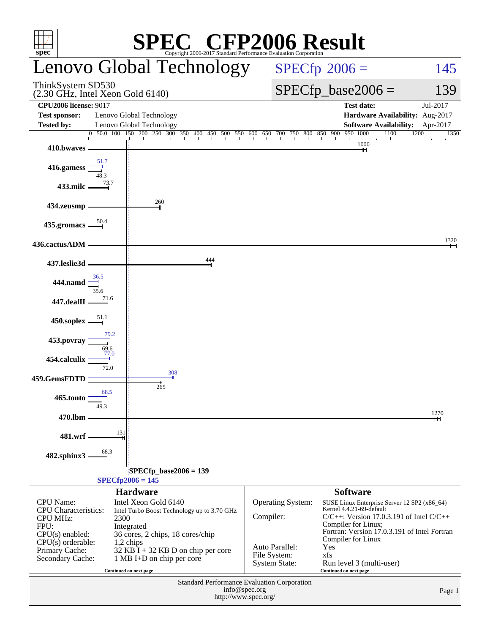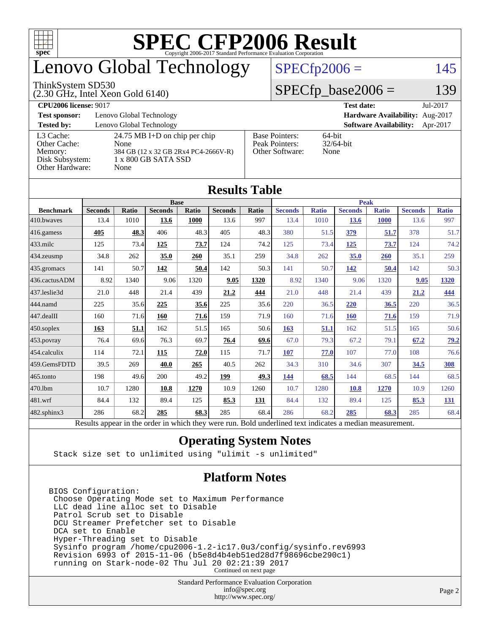

# enovo Global Technology

#### ThinkSystem SD530

(2.30 GHz, Intel Xeon Gold 6140)

### $SPECfp2006 = 145$  $SPECfp2006 = 145$

### $SPECfp\_base2006 = 139$

**[CPU2006 license:](http://www.spec.org/auto/cpu2006/Docs/result-fields.html#CPU2006license)** 9017 **[Test date:](http://www.spec.org/auto/cpu2006/Docs/result-fields.html#Testdate)** Jul-2017 **[Test sponsor:](http://www.spec.org/auto/cpu2006/Docs/result-fields.html#Testsponsor)** Lenovo Global Technology **[Hardware Availability:](http://www.spec.org/auto/cpu2006/Docs/result-fields.html#HardwareAvailability)** Aug-2017 **[Tested by:](http://www.spec.org/auto/cpu2006/Docs/result-fields.html#Testedby)** Lenovo Global Technology **[Software Availability:](http://www.spec.org/auto/cpu2006/Docs/result-fields.html#SoftwareAvailability)** Apr-2017 [L3 Cache:](http://www.spec.org/auto/cpu2006/Docs/result-fields.html#L3Cache) 24.75 MB I+D on chip per chip<br>Other Cache: None [Other Cache:](http://www.spec.org/auto/cpu2006/Docs/result-fields.html#OtherCache) [Memory:](http://www.spec.org/auto/cpu2006/Docs/result-fields.html#Memory) 384 GB (12 x 32 GB 2Rx4 PC4-2666V-R) [Disk Subsystem:](http://www.spec.org/auto/cpu2006/Docs/result-fields.html#DiskSubsystem) 1 x 800 GB SATA SSD [Other Hardware:](http://www.spec.org/auto/cpu2006/Docs/result-fields.html#OtherHardware) None [Base Pointers:](http://www.spec.org/auto/cpu2006/Docs/result-fields.html#BasePointers) 64-bit<br>Peak Pointers: 32/64-bit [Peak Pointers:](http://www.spec.org/auto/cpu2006/Docs/result-fields.html#PeakPointers) [Other Software:](http://www.spec.org/auto/cpu2006/Docs/result-fields.html#OtherSoftware) None

**[Results Table](http://www.spec.org/auto/cpu2006/Docs/result-fields.html#ResultsTable)**

| Results Table          |                                                                                                          |              |                |              |                |              |                |              |                |              |                |              |  |
|------------------------|----------------------------------------------------------------------------------------------------------|--------------|----------------|--------------|----------------|--------------|----------------|--------------|----------------|--------------|----------------|--------------|--|
|                        | <b>Base</b>                                                                                              |              |                |              |                |              |                | <b>Peak</b>  |                |              |                |              |  |
| <b>Benchmark</b>       | <b>Seconds</b>                                                                                           | <b>Ratio</b> | <b>Seconds</b> | <b>Ratio</b> | <b>Seconds</b> | <b>Ratio</b> | <b>Seconds</b> | <b>Ratio</b> | <b>Seconds</b> | <b>Ratio</b> | <b>Seconds</b> | <b>Ratio</b> |  |
| $410$ .bwayes          | 13.4                                                                                                     | 1010         | 13.6           | 1000         | 13.6           | 997          | 13.4           | 1010         | <b>13.6</b>    | <b>1000</b>  | 13.6           | 997          |  |
| 416.gamess             | 405                                                                                                      | 48.3         | 406            | 48.3         | 405            | 48.3         | 380            | 51.5         | 379            | 51.7         | 378            | 51.7         |  |
| $433$ .milc            | 125                                                                                                      | 73.4         | 125            | 73.7         | 124            | 74.2         | 125            | 73.4         | <u>125</u>     | 73.7         | 124            | 74.2         |  |
| $ 434$ . zeusmp        | 34.8                                                                                                     | 262          | 35.0           | 260          | 35.1           | 259          | 34.8           | 262          | 35.0           | 260          | 35.1           | 259          |  |
| 435.gromacs            | 141                                                                                                      | 50.7         | 142            | 50.4         | 142            | 50.3         | 141            | 50.7         | 142            | 50.4         | 142            | 50.3         |  |
| 436.cactusADM          | 8.92                                                                                                     | 1340         | 9.06           | 1320         | 9.05           | 1320         | 8.92           | 1340         | 9.06           | 1320         | 9.05           | 1320         |  |
| 437.leslie3d           | 21.0                                                                                                     | 448          | 21.4           | 439          | 21.2           | 444          | 21.0           | 448          | 21.4           | 439          | 21.2           | 444          |  |
| 444.namd               | 225                                                                                                      | 35.6         | 225            | 35.6         | 225            | 35.6         | 220            | 36.5         | 220            | 36.5         | 220            | 36.5         |  |
| $ 447 \text{.}$ dealII | 160                                                                                                      | 71.6         | 160            | 71.6         | 159            | 71.9         | 160            | 71.6         | 160            | 71.6         | 159            | 71.9         |  |
| $450$ .soplex          | 163                                                                                                      | 51.1         | 162            | 51.5         | 165            | 50.6         | 163            | 51.1         | 162            | 51.5         | 165            | 50.6         |  |
| $453$ .povray          | 76.4                                                                                                     | 69.6         | 76.3           | 69.7         | 76.4           | 69.6         | 67.0           | 79.3         | 67.2           | 79.1         | 67.2           | 79.2         |  |
| $454$ .calculix        | 114                                                                                                      | 72.1         | 115            | 72.0         | 115            | 71.7         | 107            | 77.0         | 107            | 77.0         | 108            | 76.6         |  |
| 459.GemsFDTD           | 39.5                                                                                                     | 269          | 40.0           | 265          | 40.5           | 262          | 34.3           | 310          | 34.6           | 307          | 34.5           | <b>308</b>   |  |
| 465.tonto              | 198                                                                                                      | 49.6         | 200            | 49.2         | 199            | 49.3         | 144            | 68.5         | 144            | 68.5         | 144            | 68.5         |  |
| 470.1bm                | 10.7                                                                                                     | 1280         | 10.8           | 1270         | 10.9           | 1260         | 10.7           | 1280         | <b>10.8</b>    | 1270         | 10.9           | 1260         |  |
| 481.wrf                | 84.4                                                                                                     | 132          | 89.4           | 125          | 85.3           | 131          | 84.4           | 132          | 89.4           | 125          | 85.3           | <b>131</b>   |  |
| 482.sphinx3            | 286                                                                                                      | 68.2         | 285            | 68.3         | 285            | 68.4         | 286            | 68.2         | 285            | 68.3         | 285            | 68.4         |  |
|                        | Results appear in the order in which they were run. Bold underlined text indicates a median measurement. |              |                |              |                |              |                |              |                |              |                |              |  |

#### **[Operating System Notes](http://www.spec.org/auto/cpu2006/Docs/result-fields.html#OperatingSystemNotes)**

Stack size set to unlimited using "ulimit -s unlimited"

#### **[Platform Notes](http://www.spec.org/auto/cpu2006/Docs/result-fields.html#PlatformNotes)**

BIOS Configuration: Choose Operating Mode set to Maximum Performance LLC dead line alloc set to Disable Patrol Scrub set to Disable DCU Streamer Prefetcher set to Disable DCA set to Enable Hyper-Threading set to Disable Sysinfo program /home/cpu2006-1.2-ic17.0u3/config/sysinfo.rev6993 Revision 6993 of 2015-11-06 (b5e8d4b4eb51ed28d7f98696cbe290c1) running on Stark-node-02 Thu Jul 20 02:21:39 2017 Continued on next page

> Standard Performance Evaluation Corporation [info@spec.org](mailto:info@spec.org) <http://www.spec.org/>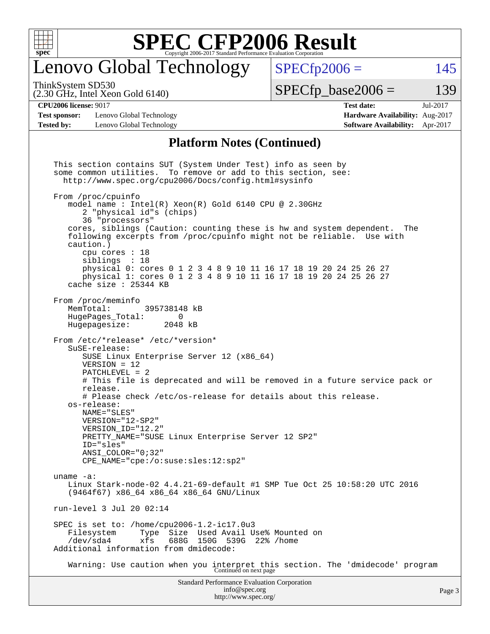

# enovo Global Technology

ThinkSystem SD530

(2.30 GHz, Intel Xeon Gold 6140)

 $SPECfp2006 = 145$  $SPECfp2006 = 145$ 

 $SPECTp\_base2006 = 139$ 

#### **[CPU2006 license:](http://www.spec.org/auto/cpu2006/Docs/result-fields.html#CPU2006license)** 9017 **[Test date:](http://www.spec.org/auto/cpu2006/Docs/result-fields.html#Testdate)** Jul-2017

**[Test sponsor:](http://www.spec.org/auto/cpu2006/Docs/result-fields.html#Testsponsor)** Lenovo Global Technology **[Hardware Availability:](http://www.spec.org/auto/cpu2006/Docs/result-fields.html#HardwareAvailability)** Aug-2017 **[Tested by:](http://www.spec.org/auto/cpu2006/Docs/result-fields.html#Testedby)** Lenovo Global Technology **[Software Availability:](http://www.spec.org/auto/cpu2006/Docs/result-fields.html#SoftwareAvailability)** Apr-2017

### **[Platform Notes \(Continued\)](http://www.spec.org/auto/cpu2006/Docs/result-fields.html#PlatformNotes)**

Standard Performance Evaluation Corporation [info@spec.org](mailto:info@spec.org) This section contains SUT (System Under Test) info as seen by some common utilities. To remove or add to this section, see: <http://www.spec.org/cpu2006/Docs/config.html#sysinfo> From /proc/cpuinfo model name : Intel(R) Xeon(R) Gold 6140 CPU @ 2.30GHz 2 "physical id"s (chips) 36 "processors" cores, siblings (Caution: counting these is hw and system dependent. The following excerpts from /proc/cpuinfo might not be reliable. Use with caution.) cpu cores : 18 siblings : 18 physical 0: cores 0 1 2 3 4 8 9 10 11 16 17 18 19 20 24 25 26 27 physical 1: cores 0 1 2 3 4 8 9 10 11 16 17 18 19 20 24 25 26 27 cache size : 25344 KB From /proc/meminfo<br>MemTotal: 395738148 kB HugePages\_Total: 0 Hugepagesize: 2048 kB From /etc/\*release\* /etc/\*version\* SuSE-release: SUSE Linux Enterprise Server 12 (x86\_64) VERSION = 12 PATCHLEVEL = 2 # This file is deprecated and will be removed in a future service pack or release. # Please check /etc/os-release for details about this release. os-release: NAME="SLES" VERSION="12-SP2" VERSION\_ID="12.2" PRETTY\_NAME="SUSE Linux Enterprise Server 12 SP2" ID="sles" ANSI\_COLOR="0;32" CPE\_NAME="cpe:/o:suse:sles:12:sp2" uname -a: Linux Stark-node-02 4.4.21-69-default #1 SMP Tue Oct 25 10:58:20 UTC 2016 (9464f67) x86\_64 x86\_64 x86\_64 GNU/Linux run-level 3 Jul 20 02:14 SPEC is set to: /home/cpu2006-1.2-ic17.0u3 Filesystem Type Size Used Avail Use% Mounted on /dev/sda4 xfs 688G 150G 539G 22% /home Additional information from dmidecode: Warning: Use caution when you interpret this section. The 'dmidecode' program Continued on next page

<http://www.spec.org/>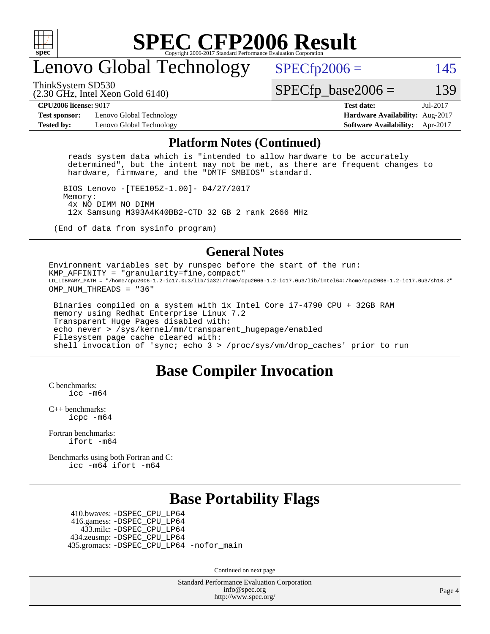

# enovo Global Technology

ThinkSystem SD530

 $SPECfp2006 = 145$  $SPECfp2006 = 145$ 

(2.30 GHz, Intel Xeon Gold 6140)

 $SPECTp\_base2006 = 139$ 

**[Test sponsor:](http://www.spec.org/auto/cpu2006/Docs/result-fields.html#Testsponsor)** Lenovo Global Technology **[Hardware Availability:](http://www.spec.org/auto/cpu2006/Docs/result-fields.html#HardwareAvailability)** Aug-2017 **[Tested by:](http://www.spec.org/auto/cpu2006/Docs/result-fields.html#Testedby)** Lenovo Global Technology **[Software Availability:](http://www.spec.org/auto/cpu2006/Docs/result-fields.html#SoftwareAvailability)** Apr-2017

**[CPU2006 license:](http://www.spec.org/auto/cpu2006/Docs/result-fields.html#CPU2006license)** 9017 **[Test date:](http://www.spec.org/auto/cpu2006/Docs/result-fields.html#Testdate)** Jul-2017

#### **[Platform Notes \(Continued\)](http://www.spec.org/auto/cpu2006/Docs/result-fields.html#PlatformNotes)**

 reads system data which is "intended to allow hardware to be accurately determined", but the intent may not be met, as there are frequent changes to hardware, firmware, and the "DMTF SMBIOS" standard.

 BIOS Lenovo -[TEE105Z-1.00]- 04/27/2017 Memory: 4x NO DIMM NO DIMM 12x Samsung M393A4K40BB2-CTD 32 GB 2 rank 2666 MHz

(End of data from sysinfo program)

#### **[General Notes](http://www.spec.org/auto/cpu2006/Docs/result-fields.html#GeneralNotes)**

Environment variables set by runspec before the start of the run: KMP\_AFFINITY = "granularity=fine,compact" LD\_LIBRARY\_PATH = "/home/cpu2006-1.2-ic17.0u3/lib/ia32:/home/cpu2006-1.2-ic17.0u3/lib/intel64:/home/cpu2006-1.2-ic17.0u3/sh10.2" OMP NUM THREADS = "36"

 Binaries compiled on a system with 1x Intel Core i7-4790 CPU + 32GB RAM memory using Redhat Enterprise Linux 7.2 Transparent Huge Pages disabled with: echo never > /sys/kernel/mm/transparent\_hugepage/enabled Filesystem page cache cleared with: shell invocation of 'sync; echo 3 > /proc/sys/vm/drop\_caches' prior to run

### **[Base Compiler Invocation](http://www.spec.org/auto/cpu2006/Docs/result-fields.html#BaseCompilerInvocation)**

[C benchmarks](http://www.spec.org/auto/cpu2006/Docs/result-fields.html#Cbenchmarks): [icc -m64](http://www.spec.org/cpu2006/results/res2017q4/cpu2006-20170918-49659.flags.html#user_CCbase_intel_icc_64bit_bda6cc9af1fdbb0edc3795bac97ada53)

[C++ benchmarks:](http://www.spec.org/auto/cpu2006/Docs/result-fields.html#CXXbenchmarks) [icpc -m64](http://www.spec.org/cpu2006/results/res2017q4/cpu2006-20170918-49659.flags.html#user_CXXbase_intel_icpc_64bit_fc66a5337ce925472a5c54ad6a0de310)

[Fortran benchmarks](http://www.spec.org/auto/cpu2006/Docs/result-fields.html#Fortranbenchmarks): [ifort -m64](http://www.spec.org/cpu2006/results/res2017q4/cpu2006-20170918-49659.flags.html#user_FCbase_intel_ifort_64bit_ee9d0fb25645d0210d97eb0527dcc06e)

[Benchmarks using both Fortran and C](http://www.spec.org/auto/cpu2006/Docs/result-fields.html#BenchmarksusingbothFortranandC): [icc -m64](http://www.spec.org/cpu2006/results/res2017q4/cpu2006-20170918-49659.flags.html#user_CC_FCbase_intel_icc_64bit_bda6cc9af1fdbb0edc3795bac97ada53) [ifort -m64](http://www.spec.org/cpu2006/results/res2017q4/cpu2006-20170918-49659.flags.html#user_CC_FCbase_intel_ifort_64bit_ee9d0fb25645d0210d97eb0527dcc06e)

## **[Base Portability Flags](http://www.spec.org/auto/cpu2006/Docs/result-fields.html#BasePortabilityFlags)**

 410.bwaves: [-DSPEC\\_CPU\\_LP64](http://www.spec.org/cpu2006/results/res2017q4/cpu2006-20170918-49659.flags.html#suite_basePORTABILITY410_bwaves_DSPEC_CPU_LP64) 416.gamess: [-DSPEC\\_CPU\\_LP64](http://www.spec.org/cpu2006/results/res2017q4/cpu2006-20170918-49659.flags.html#suite_basePORTABILITY416_gamess_DSPEC_CPU_LP64) 433.milc: [-DSPEC\\_CPU\\_LP64](http://www.spec.org/cpu2006/results/res2017q4/cpu2006-20170918-49659.flags.html#suite_basePORTABILITY433_milc_DSPEC_CPU_LP64) 434.zeusmp: [-DSPEC\\_CPU\\_LP64](http://www.spec.org/cpu2006/results/res2017q4/cpu2006-20170918-49659.flags.html#suite_basePORTABILITY434_zeusmp_DSPEC_CPU_LP64) 435.gromacs: [-DSPEC\\_CPU\\_LP64](http://www.spec.org/cpu2006/results/res2017q4/cpu2006-20170918-49659.flags.html#suite_basePORTABILITY435_gromacs_DSPEC_CPU_LP64) [-nofor\\_main](http://www.spec.org/cpu2006/results/res2017q4/cpu2006-20170918-49659.flags.html#user_baseLDPORTABILITY435_gromacs_f-nofor_main)

Continued on next page

Standard Performance Evaluation Corporation [info@spec.org](mailto:info@spec.org) <http://www.spec.org/>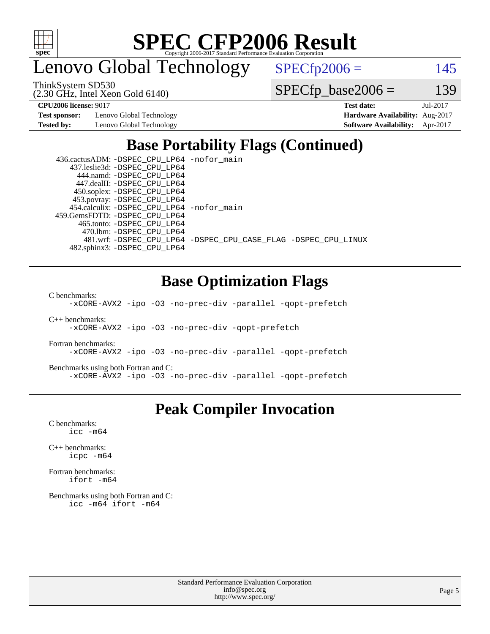

enovo Global Technology

ThinkSystem SD530

(2.30 GHz, Intel Xeon Gold 6140)

 $SPECfp2006 = 145$  $SPECfp2006 = 145$ 

 $SPECfp\_base2006 = 139$ 

**[Test sponsor:](http://www.spec.org/auto/cpu2006/Docs/result-fields.html#Testsponsor)** Lenovo Global Technology **[Hardware Availability:](http://www.spec.org/auto/cpu2006/Docs/result-fields.html#HardwareAvailability)** Aug-2017

**[CPU2006 license:](http://www.spec.org/auto/cpu2006/Docs/result-fields.html#CPU2006license)** 9017 **[Test date:](http://www.spec.org/auto/cpu2006/Docs/result-fields.html#Testdate)** Jul-2017 **[Tested by:](http://www.spec.org/auto/cpu2006/Docs/result-fields.html#Testedby)** Lenovo Global Technology **[Software Availability:](http://www.spec.org/auto/cpu2006/Docs/result-fields.html#SoftwareAvailability)** Apr-2017

# **[Base Portability Flags \(Continued\)](http://www.spec.org/auto/cpu2006/Docs/result-fields.html#BasePortabilityFlags)**

| 436.cactusADM: -DSPEC_CPU_LP64 -nofor main  |                                                                |
|---------------------------------------------|----------------------------------------------------------------|
| 437.leslie3d: -DSPEC_CPU_LP64               |                                                                |
| 444.namd: -DSPEC CPU LP64                   |                                                                |
| 447.dealII: -DSPEC CPU LP64                 |                                                                |
| 450.soplex: -DSPEC_CPU_LP64                 |                                                                |
| 453.povray: -DSPEC_CPU_LP64                 |                                                                |
| 454.calculix: - DSPEC CPU LP64 - nofor main |                                                                |
| 459.GemsFDTD: - DSPEC_CPU_LP64              |                                                                |
| 465.tonto: -DSPEC CPU LP64                  |                                                                |
| 470.1bm: - DSPEC CPU LP64                   |                                                                |
|                                             | 481.wrf: -DSPEC CPU_LP64 -DSPEC_CPU_CASE_FLAG -DSPEC_CPU_LINUX |
| 482.sphinx3: -DSPEC CPU LP64                |                                                                |

## **[Base Optimization Flags](http://www.spec.org/auto/cpu2006/Docs/result-fields.html#BaseOptimizationFlags)**

[C benchmarks](http://www.spec.org/auto/cpu2006/Docs/result-fields.html#Cbenchmarks):

[-xCORE-AVX2](http://www.spec.org/cpu2006/results/res2017q4/cpu2006-20170918-49659.flags.html#user_CCbase_f-xCORE-AVX2) [-ipo](http://www.spec.org/cpu2006/results/res2017q4/cpu2006-20170918-49659.flags.html#user_CCbase_f-ipo) [-O3](http://www.spec.org/cpu2006/results/res2017q4/cpu2006-20170918-49659.flags.html#user_CCbase_f-O3) [-no-prec-div](http://www.spec.org/cpu2006/results/res2017q4/cpu2006-20170918-49659.flags.html#user_CCbase_f-no-prec-div) [-parallel](http://www.spec.org/cpu2006/results/res2017q4/cpu2006-20170918-49659.flags.html#user_CCbase_f-parallel) [-qopt-prefetch](http://www.spec.org/cpu2006/results/res2017q4/cpu2006-20170918-49659.flags.html#user_CCbase_f-qopt-prefetch)

[C++ benchmarks:](http://www.spec.org/auto/cpu2006/Docs/result-fields.html#CXXbenchmarks) [-xCORE-AVX2](http://www.spec.org/cpu2006/results/res2017q4/cpu2006-20170918-49659.flags.html#user_CXXbase_f-xCORE-AVX2) [-ipo](http://www.spec.org/cpu2006/results/res2017q4/cpu2006-20170918-49659.flags.html#user_CXXbase_f-ipo) [-O3](http://www.spec.org/cpu2006/results/res2017q4/cpu2006-20170918-49659.flags.html#user_CXXbase_f-O3) [-no-prec-div](http://www.spec.org/cpu2006/results/res2017q4/cpu2006-20170918-49659.flags.html#user_CXXbase_f-no-prec-div) [-qopt-prefetch](http://www.spec.org/cpu2006/results/res2017q4/cpu2006-20170918-49659.flags.html#user_CXXbase_f-qopt-prefetch)

[Fortran benchmarks](http://www.spec.org/auto/cpu2006/Docs/result-fields.html#Fortranbenchmarks): [-xCORE-AVX2](http://www.spec.org/cpu2006/results/res2017q4/cpu2006-20170918-49659.flags.html#user_FCbase_f-xCORE-AVX2) [-ipo](http://www.spec.org/cpu2006/results/res2017q4/cpu2006-20170918-49659.flags.html#user_FCbase_f-ipo) [-O3](http://www.spec.org/cpu2006/results/res2017q4/cpu2006-20170918-49659.flags.html#user_FCbase_f-O3) [-no-prec-div](http://www.spec.org/cpu2006/results/res2017q4/cpu2006-20170918-49659.flags.html#user_FCbase_f-no-prec-div) [-parallel](http://www.spec.org/cpu2006/results/res2017q4/cpu2006-20170918-49659.flags.html#user_FCbase_f-parallel) [-qopt-prefetch](http://www.spec.org/cpu2006/results/res2017q4/cpu2006-20170918-49659.flags.html#user_FCbase_f-qopt-prefetch)

[Benchmarks using both Fortran and C](http://www.spec.org/auto/cpu2006/Docs/result-fields.html#BenchmarksusingbothFortranandC): [-xCORE-AVX2](http://www.spec.org/cpu2006/results/res2017q4/cpu2006-20170918-49659.flags.html#user_CC_FCbase_f-xCORE-AVX2) [-ipo](http://www.spec.org/cpu2006/results/res2017q4/cpu2006-20170918-49659.flags.html#user_CC_FCbase_f-ipo) [-O3](http://www.spec.org/cpu2006/results/res2017q4/cpu2006-20170918-49659.flags.html#user_CC_FCbase_f-O3) [-no-prec-div](http://www.spec.org/cpu2006/results/res2017q4/cpu2006-20170918-49659.flags.html#user_CC_FCbase_f-no-prec-div) [-parallel](http://www.spec.org/cpu2006/results/res2017q4/cpu2006-20170918-49659.flags.html#user_CC_FCbase_f-parallel) [-qopt-prefetch](http://www.spec.org/cpu2006/results/res2017q4/cpu2006-20170918-49659.flags.html#user_CC_FCbase_f-qopt-prefetch)

## **[Peak Compiler Invocation](http://www.spec.org/auto/cpu2006/Docs/result-fields.html#PeakCompilerInvocation)**

[C benchmarks](http://www.spec.org/auto/cpu2006/Docs/result-fields.html#Cbenchmarks): [icc -m64](http://www.spec.org/cpu2006/results/res2017q4/cpu2006-20170918-49659.flags.html#user_CCpeak_intel_icc_64bit_bda6cc9af1fdbb0edc3795bac97ada53)

[C++ benchmarks:](http://www.spec.org/auto/cpu2006/Docs/result-fields.html#CXXbenchmarks) [icpc -m64](http://www.spec.org/cpu2006/results/res2017q4/cpu2006-20170918-49659.flags.html#user_CXXpeak_intel_icpc_64bit_fc66a5337ce925472a5c54ad6a0de310)

[Fortran benchmarks](http://www.spec.org/auto/cpu2006/Docs/result-fields.html#Fortranbenchmarks): [ifort -m64](http://www.spec.org/cpu2006/results/res2017q4/cpu2006-20170918-49659.flags.html#user_FCpeak_intel_ifort_64bit_ee9d0fb25645d0210d97eb0527dcc06e)

[Benchmarks using both Fortran and C](http://www.spec.org/auto/cpu2006/Docs/result-fields.html#BenchmarksusingbothFortranandC): [icc -m64](http://www.spec.org/cpu2006/results/res2017q4/cpu2006-20170918-49659.flags.html#user_CC_FCpeak_intel_icc_64bit_bda6cc9af1fdbb0edc3795bac97ada53) [ifort -m64](http://www.spec.org/cpu2006/results/res2017q4/cpu2006-20170918-49659.flags.html#user_CC_FCpeak_intel_ifort_64bit_ee9d0fb25645d0210d97eb0527dcc06e)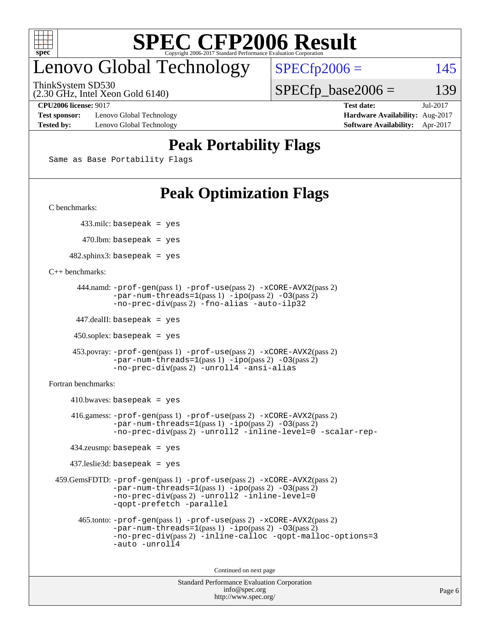

# enovo Global Technology

ThinkSystem SD530

(2.30 GHz, Intel Xeon Gold 6140)

 $SPECfp2006 = 145$  $SPECfp2006 = 145$  $SPECTp\_base2006 = 139$ 

**[Test sponsor:](http://www.spec.org/auto/cpu2006/Docs/result-fields.html#Testsponsor)** Lenovo Global Technology **[Hardware Availability:](http://www.spec.org/auto/cpu2006/Docs/result-fields.html#HardwareAvailability)** Aug-2017 **[Tested by:](http://www.spec.org/auto/cpu2006/Docs/result-fields.html#Testedby)** Lenovo Global Technology **[Software Availability:](http://www.spec.org/auto/cpu2006/Docs/result-fields.html#SoftwareAvailability)** Apr-2017

**[CPU2006 license:](http://www.spec.org/auto/cpu2006/Docs/result-fields.html#CPU2006license)** 9017 **[Test date:](http://www.spec.org/auto/cpu2006/Docs/result-fields.html#Testdate)** Jul-2017

## **[Peak Portability Flags](http://www.spec.org/auto/cpu2006/Docs/result-fields.html#PeakPortabilityFlags)**

Same as Base Portability Flags

# **[Peak Optimization Flags](http://www.spec.org/auto/cpu2006/Docs/result-fields.html#PeakOptimizationFlags)**

[C benchmarks](http://www.spec.org/auto/cpu2006/Docs/result-fields.html#Cbenchmarks):

433.milc: basepeak = yes

 $470.$ lbm: basepeak = yes

 $482$ .sphinx3: basepeak = yes

[C++ benchmarks:](http://www.spec.org/auto/cpu2006/Docs/result-fields.html#CXXbenchmarks)

```
 444.namd: -prof-gen(pass 1) -prof-use(pass 2) -xCORE-AVX2(pass 2)
       -par-num-threads=1(pass 1) -ipo(pass 2) -O3(pass 2)
       -no-prec-div(pass 2) -fno-alias -auto-ilp32
```
447.dealII: basepeak = yes

 $450$ .soplex: basepeak = yes

```
 453.povray: -prof-gen(pass 1) -prof-use(pass 2) -xCORE-AVX2(pass 2)
        -par-num-threads=1-ipo-O3(pass 2)-no-prec-div(pass 2) -unroll4 -ansi-alias
```
[Fortran benchmarks](http://www.spec.org/auto/cpu2006/Docs/result-fields.html#Fortranbenchmarks):

```
410.bwaves: basepeak = yes 416.gamess: -prof-gen(pass 1) -prof-use(pass 2) -xCORE-AVX2(pass 2)
           -par-num-threads=1-ipo-O3(pass 2)-no-prec-div(pass 2) -unroll2 -inline-level=0 -scalar-rep-
   434.zeusmp: basepeak = yes
   437.leslie3d: basepeak = yes
459.GemsFDTD: -prof-gen(pass 1) -prof-use(pass 2) -xCORE-AVX2(pass 2)
           -par-num-threads=1-ipo-O3(pass 2)-no-prec-div(pass 2) -unroll2 -inline-level=0
           -qopt-prefetch -parallel
     465.tonto: -prof-gen(pass 1) -prof-use(pass 2) -xCORE-AVX2(pass 2)
           -par-num-threads=1(pass 1) -ipo(pass 2) -O3(pass 2)
           -no-prec-div-inline-calloc-qopt-malloc-options=3
           -auto -unroll4
```
Continued on next page

```
Standard Performance Evaluation Corporation
            info@spec.org
          http://www.spec.org/
```